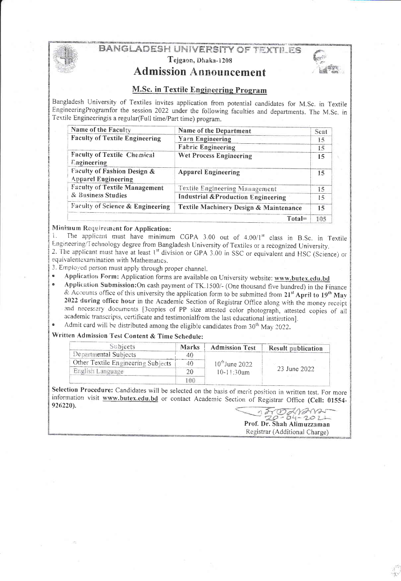

### **BANGLADESH UNIVERSITY OF TEXTILES** Tejgaon, Dhaka-1208

### **Admission Announcement**



## **M.Sc. in Textile Engineering Program**

Bangladesh University of Textiles invites application from potential candidates for M.Sc. in Textile EngineeringProgramfor the session 2022 under the following faculties and departments. The M.Sc. in Textile Engineeringis a regular(Full time/Part time) program.

| Name of the Faculty                                       | Name of the Department                        | Seat |
|-----------------------------------------------------------|-----------------------------------------------|------|
| <b>Faculty of Textile Engineering</b>                     | <b>Yarn Engineering</b>                       | 15   |
|                                                           | <b>Fabric Engineering</b>                     | 15   |
| <b>Faculty of Textile Chemical</b><br>Engineering         | <b>Wet Process Engineering</b>                | 15   |
| Faculty of Fashion Design &<br><b>Apparel Engineering</b> | <b>Apparel Engineering</b>                    | 15   |
| <b>Faculty of Textile Management</b>                      | <b>Textile Engineering Management</b>         | 15   |
| & Basiness Studies                                        | <b>Industrial &amp;Production Engineering</b> | 15   |
| Faculty of Science & Engineering                          | Textile Machinery Design & Maintenance        | 15   |
|                                                           | $Total =$                                     | 105  |

#### Minimum Requirement for Application:

The applicant must have minimum CGPA 3.00 out of 4.00/1st class in B.Sc. in Textile Ť. Engineering/Technology degree from Bangladesh University of Textiles or a recognized University. 2. The applicant must have at least 1st division or GPA 3.00 in SSC or equivalent and HSC (Science) or equivalentexamination with Mathematics.

3. Employed person must apply through proper channel.

- Application Form: Application forms are available on University website: www.butex.edu.bd
- Application Submission: On cash payment of TK.1500/- (One thousand five hundred) in the Finance & Accounts office of this university the application form to be submitted from  $21^{st}$  April to  $19^{th}$  May 2022 during office hour in the Academic Section of Registrar Office along with the money receipt and necessary documents [3copies of PP size attested color photograph, attested copies of all academic transcripts, certificate and testimonialfrom the last educational institution].

Admit card will be distributed among the eligible candidates from 30<sup>th</sup> May 2022.

#### Written Admission Test Content & Time Schedule:

| Subjects                           | <b>Marks</b> | <b>Admission Test</b> | Result publication |
|------------------------------------|--------------|-----------------------|--------------------|
| Departmental Subjects              |              |                       |                    |
| Other Textile Engineering Subjects | 40           | $10^{th}$ June 2022   |                    |
| English Language                   |              | $10-11:30$ am         | 23 June 2022       |
|                                    |              |                       |                    |

Selection Procedure: Candidates will be selected on the basis of merit position in written test. For more information visit www.butex.edu.bd or contact Academic Section of Registrar Office (Cell: 01554-926220).

Prof. Dr. Shah Alimuzzaman

Registrar (Additional Charge)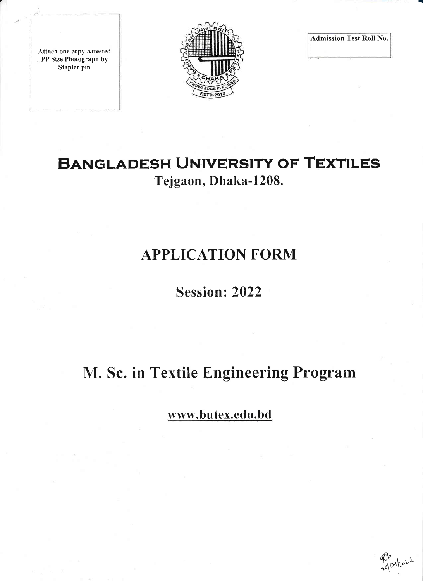Attach one copy Attested PP Size Photograph by Stapler pin



Admission Test Roll No.

-:I

 $\frac{1}{2}$  or  $\mu$ 

# **BANGLADESH UNIVERSITY OF TEXTILES** Tejgaon, Dhaka-l208.

## APPLICATION FORM

## Session: 2022

# M. Sc. in Textile Engineering Program

www.butex.edu.bd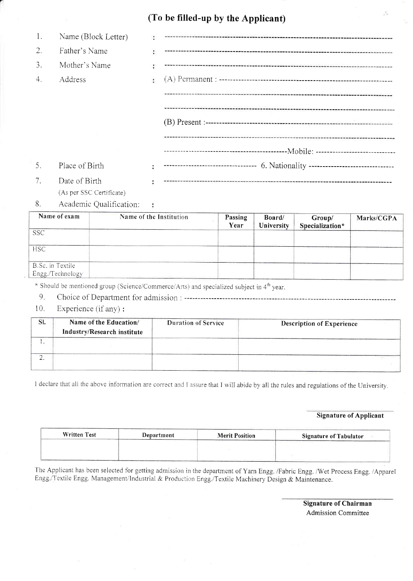### (To be filled-up by the Applicant)

| 1. | Name (Block Letter)      | ٠       |                                                                                  |
|----|--------------------------|---------|----------------------------------------------------------------------------------|
| 2. | Father's Name            |         |                                                                                  |
| 3. | Mother's Name            |         |                                                                                  |
| 4. | Address                  | $\cdot$ |                                                                                  |
|    |                          |         |                                                                                  |
|    |                          |         |                                                                                  |
|    |                          |         |                                                                                  |
|    |                          |         |                                                                                  |
|    |                          |         |                                                                                  |
| 5. | Place of Birth           | ٠<br>٠  | ------------------------------- 6. Nationality --------------------------------- |
|    | Date of Birth            |         |                                                                                  |
|    | (As per SSC Certificate) |         |                                                                                  |

### 8. Academic Qualification:

| Name of exam                         | Name of the Institution | Passing<br>Year | Board/<br>University | Group/<br>Specialization* | Marks/CGPA |
|--------------------------------------|-------------------------|-----------------|----------------------|---------------------------|------------|
| <b>SSC</b>                           |                         |                 |                      |                           |            |
| HSC.                                 |                         |                 |                      |                           |            |
| B.Sc. in Textile<br>Engg./Technology |                         |                 |                      |                           |            |

\* Should be mentioned group (Science/Commerce/Arts) and specialized subject in 4<sup>th</sup> year.

:

- 9. Choice of Department for admission: ------------
- 10. Experience (if any):

| SI. | Name of the Education/<br>Industry/Research institute | <b>Duration of Service</b> | <b>Description of Experience</b> |
|-----|-------------------------------------------------------|----------------------------|----------------------------------|
|     |                                                       |                            |                                  |
|     |                                                       |                            |                                  |

I declare that all the above information are correct and I assure that I will abide by all the rules and regulations of the University.

#### Signature of Applicant

| <b>Written Test</b> | Department | <b>Merit Position</b> | Signature of Tabulator |
|---------------------|------------|-----------------------|------------------------|
|                     |            |                       |                        |
|                     |            |                       |                        |
|                     |            |                       |                        |

The Applicant has been selected for getting admission in the department of Yarn Engg. /Fabric Engg. /Wet Process Engg. /Apparel Engg./Textile Engg. Management/Industrial & Production Engg./Textile Machinery Design & Maintenance.

> Signature of Chairman Admission Committee